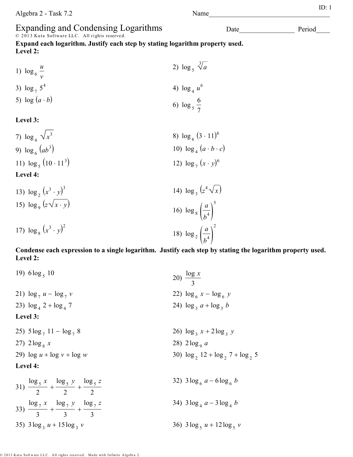# Expanding and Condensing Logarithms<br>© 2013 Kuta Software LLC. All rights reserved.

**Expand each logarithm. Justify each step by stating logarithm property used. Level 2:**

- 1)  $\log_6$ *u v* 2)  $\log_5 \sqrt[3]{a}$ 3)  $\log_7 5^4$ 4)  $\log_4 u^6$ 5)  $\log(a \cdot b)$ 6)  $\log_5$ 6 7 **Level 3:**  7)  $\log_4 \sqrt{x}$  $3 \log_6 (3 \cdot 11)^6$
- 9)  $\log_6 (ab^3)$  $(10) \log_4 (a \cdot b \cdot c)$ 11)  $\log_5 (10 \cdot 11^3)$  $(12) \log_7 (x \cdot y)^6$ **Level 4:**  13)  $\log_2(x^3 \cdot y)^3$ 14)  $\log_3 (z^4 \sqrt{x})$ 15)  $\log_9(z\sqrt{x}\cdot y)$ 16)  $\log_8\left(\frac{6}{h}\right)$ *a*  $b^4$ 5

17)  $\log_8 (x^3 \cdot y)^2$ 18)  $\log_2\left(\frac{\epsilon}{h}\right)$ *a*  $b^4$ 

#### **Condense each expression to a single logarithm. Justify each step by stating the logarithm property used. Level 2:**

2

19) 
$$
6\log_5 10
$$
  
\n20)  $\frac{\log x}{3}$   
\n21)  $\log_7 u - \log_7 v$   
\n22)  $\log_6 x - \log_6 y$   
\n23)  $\log_4 2 + \log_4 7$   
\n24)  $\log_3 a + \log_3 b$   
\nLevel 3:  
\n25)  $5\log_7 11 - \log_7 8$   
\n26)  $\log_3 x + 2\log_3 y$   
\n27)  $2\log_8 x$   
\n28)  $2\log_9 a$   
\n29)  $\log u + \log v + \log w$   
\n28)  $2\log_9 a$   
\n30)  $\log_2 12 + \log_2 7 + \log_2 5$   
\nLevel 4:  
\n31)  $\frac{\log_5 x}{2} + \frac{\log_5 y}{2} + \frac{\log_5 z}{2}$   
\n32)  $3\log_6 a - 6\log_6 b$   
\n33)  $\frac{\log_7 x}{3} + \frac{\log_7 y}{3} + \frac{\log_7 z}{3}$   
\n34)  $3\log_4 a - 3\log_4 b$   
\n35)  $3\log_3 u + 15\log_3 v$   
\n36)  $3\log_5 u + 12\log_5 v$ 

© 2013 Kuta Software LLC. All rights reserved. Made with Infinite Algebra 2

Date Period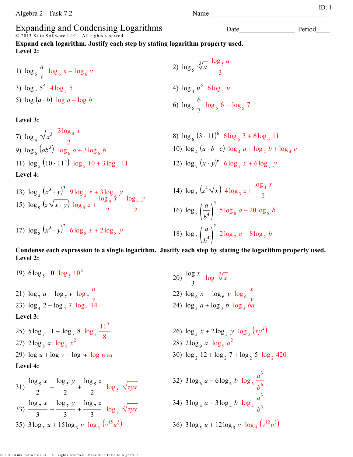#### Expanding and Condensing Logarithms

© 2013 Kuta Software LLC. All rights reserved.

**Expand each logarithm. Justify each step by stating logarithm property used. Level 2:**

1)  $\log_6$ *u*  $\frac{u}{v}$   $\log_6 u - \log_6 v$ 2)  $\log_5$ 3 *a*  $\log_{\frac{1}{2}}$ *a* 3 3)  $\log_7 5^4 4 \log_7$ 5 4)  $\log_4$ *u* 6  $6\log_4$ *u* 5)  $\log (a \cdot b) \log a + \log b$ 6)  $\log_5$ 6  $\log_{\frac{1}{2}}$ 

**Level 3:** 

7)  $\log_4 \sqrt{x^3}$   $\frac{3\log_4 x}{2}$ 2 9)  $\log_6 (ab^3) \log_6 a + 3 \log_6 a$ 11)  $\log_5 (10 \cdot 11^3) \log_5 10 + 3 \log_5$ **Level 4:** 

13) 
$$
\log_2 (x^3 \cdot y)^3
$$
  $9 \log_2 x + 3 \log_2 y$   
\n15)  $\log_9 (z \sqrt{x \cdot y}) \log_9 z + \frac{\log_9 x}{2} + \frac{\log_9 y}{2}$   
\n14)  $\log_3$   
\n15)  $\log_9 (z \sqrt{x \cdot y}) \log_9 z + \frac{\log_9 x}{2} + \frac{\log_9 y}{2}$ 

17)  $\log_8(x^3 \cdot y)^2$  6  $\log_8 x + 2\log_8 y$ 

2) 
$$
\log_5 \sqrt[3]{a} \frac{\log_5 a}{3}
$$
  
4)  $\log_4 u^6$   $6 \log_4 u$   
6)  $\log_5 \frac{6}{7} \log_5 6 - \log_5 7$ 

8)  $\log_6 (3 \cdot 11)^6$  6  $\log_6 3 + 6 \log_6 11$ *b* 10)  $\log_4 (a \cdot b \cdot c) \log_4 a + \log_4 b + \log_4 c$ 11 12)  $\log_7 (x \cdot y)^6$  6  $\log_7 x + 6 \log_7 y$ 

14) 
$$
\log_3 (z^4 \sqrt{x}) 4 \log_3 z + \frac{\log_3 x}{2}
$$
  
\n16)  $\log_8 \left(\frac{a}{b^4}\right)^5 5 \log_8 a - 20 \log_8 b$   
\n18)  $\log_2 \left(\frac{a}{b^4}\right)^2 2 \log_2 a - 8 \log_2 b$ 

**Condense each expression to a single logarithm. Justify each step by stating the logarithm property used. Level 2:**

19)  $6\log_5 10 \log_5 10^6$ 20)  $\frac{\log x}{3}$   $\log \sqrt[3]{x}$ 21)  $\log_7 u - \log_7 v \log_7 v$ *u v* 22)  $\log_6 x - \log_6 y \log_6 y$ *x y* 23)  $\log_4 2 + \log_4 7 \log_4 1$ 14 24)  $\log_3 a + \log_3 b \log_3 b a$ **Level 3:**  25)  $5\log_7 11 - \log_7 8 \log_7$  $11<sup>5</sup>$ 8 26)  $\log_3 x + 2\log_3 y \log_3 (xy^2)$ 27)  $2\log_8 x \log_8 x^2$ 28)  $2 \log_9 a \log_9 a^2$ 29)  $\log u + \log v + \log w \log w$  $12 + \log_2 7 + \log_2 5 \log_2 420$ **Level 4:** 31)  $\log_5 x$ 2  $+\frac{\log_5 y}{\log_5 y}$ 2  $+\frac{\log_5 z}{\log_5 z}$  $\frac{z_5}{2}$   $\log_5 \sqrt{z}$ yx 32)  $3 \log_{6} a - 6 \log_{6} b \log_{6}$ *a* 3 *b* 6 33)  $\log_7 x$ 3  $+\frac{\log_7 y}{\log_7 y}$ 3  $\frac{\log_7 z}{1 + \log_7 z}$  $rac{3}{3}$ <sup>7</sup>  $\frac{7}{3}$   $\log_7 \sqrt[3]{zyx}$ 34)  $3 \log_4 a - 3 \log_4 b \log_4$ *a* 3  $b^3$ 35)  $3\log_3 u + 15\log_3 v \log_3 (v^{15}u^3)$  $\int$  36)  $3\log_5 u + 12\log_5 v \log_5 (v^{12}u^3)$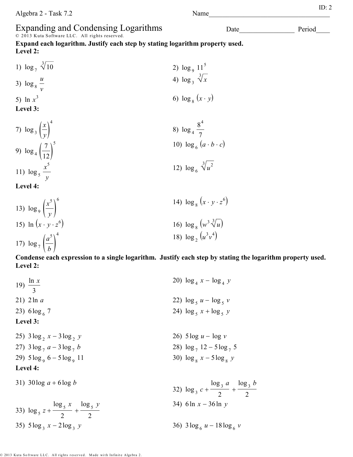## Expanding and Condensing Logarithms<br>© 2013 Kuta Software LLC. All rights reserved.

**Expand each logarithm. Justify each step by stating logarithm property used. Level 2:**

- 1)  $\log_7 \sqrt[3]{ }$ 10 2)  $\log_9 11^5$ 3)  $\log_8$ *u v* 4)  $\log_3 \sqrt[3]{x}$ 5) ln *x* 3 6)  $\log_8(x \cdot y)$ **Level 3:**  *x* 4 8 4
- 7)  $\log_3\left(\frac{\pi}{v}\right)$ *y* ) 8) log <sup>4</sup> 7 9)  $\log_4$   $\frac{1}{1}$ 7  $\overline{12}$ 5 10)  $\log_6 (a \cdot b \cdot c)$ 11)  $\log_5$ *x* 5 *y* 12)  $\log_6 \sqrt[3]{u^2}$

**Level 4:** 

13)  $\log_9\left(\frac{\pi}{1}\right)$ *x* 5 *<sup>y</sup>* ) 6 14)  $\log_8(x \cdot y \cdot z^6)$ 15) ln  $(x \cdot y \cdot z^6)$ (a)  $\log_8 (w^3 \sqrt[3]{u})$ 17)  $\log_7\left(\frac{a}{l}\right)$ *a* 5 *<sup>b</sup>* ) 4 18)  $\log_2(u^3v^4)$ 

**Condense each expression to a single logarithm. Justify each step by stating the logarithm property used. Level 2:**

19)  $\frac{\ln x}{3}$ 20)  $\log_4 x - \log_4 y$ 21) 2ln *a* 22)  $\log_5 u - \log_5 v$ 23)  $6\log_{6} 7$ 7 24)  $\log_5 x + \log_5 y$ **Level 3:**  25)  $3\log_2 x - 3\log_2 x$ *y* 26) 5 log *u* − log *v* 27)  $3\log_7 a - 3\log_7 a$ *b* 28)  $\log_7 12 - 5\log_7 5$ 29)  $5\log_9 6 - 5\log_9 6$ 11  $30) \log_8 x - 5 \log_8 y$ **Level 4:** 31) 30log *a* + 6 log *b* 32)  $\log_3 c +$  $log_3 a$ 2  $+\frac{\log_3 b}{\log_3 2b}$ 2 33)  $\log_5 z +$  $\log_5 x$ 2  $+\frac{\log_5 y}{\log_5 y}$ 2 34) 6 ln *x* − 36 ln *y*

*y* 36)  $3\log_6 u - 18\log_6 v$ 

35)  $5\log_3 x - 2\log_3 x$ 

Date Period